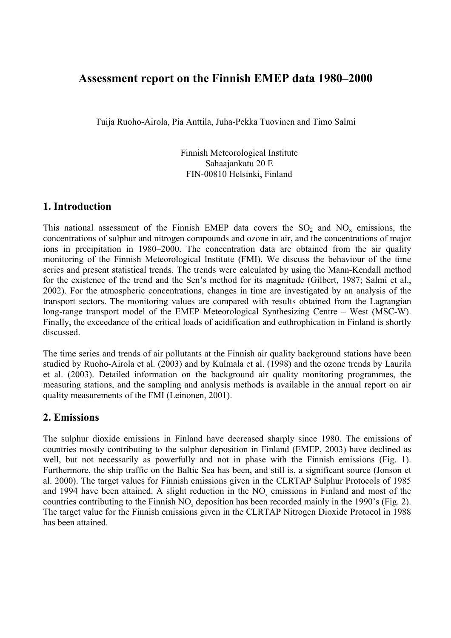# **Assessment report on the Finnish EMEP data 1980–2000**

Tuija Ruoho-Airola, Pia Anttila, Juha-Pekka Tuovinen and Timo Salmi

Finnish Meteorological Institute Sahaajankatu 20 E FIN-00810 Helsinki, Finland

### **1. Introduction**

This national assessment of the Finnish EMEP data covers the  $SO_2$  and  $NO_x$  emissions, the concentrations of sulphur and nitrogen compounds and ozone in air, and the concentrations of major ions in precipitation in 1980–2000. The concentration data are obtained from the air quality monitoring of the Finnish Meteorological Institute (FMI). We discuss the behaviour of the time series and present statistical trends. The trends were calculated by using the Mann-Kendall method for the existence of the trend and the Sen's method for its magnitude (Gilbert, 1987; Salmi et al., 2002). For the atmospheric concentrations, changes in time are investigated by an analysis of the transport sectors. The monitoring values are compared with results obtained from the Lagrangian long-range transport model of the EMEP Meteorological Synthesizing Centre – West (MSC-W). Finally, the exceedance of the critical loads of acidification and euthrophication in Finland is shortly discussed.

The time series and trends of air pollutants at the Finnish air quality background stations have been studied by Ruoho-Airola et al. (2003) and by Kulmala et al. (1998) and the ozone trends by Laurila et al. (2003). Detailed information on the background air quality monitoring programmes, the measuring stations, and the sampling and analysis methods is available in the annual report on air quality measurements of the FMI (Leinonen, 2001).

### **2. Emissions**

The sulphur dioxide emissions in Finland have decreased sharply since 1980. The emissions of countries mostly contributing to the sulphur deposition in Finland (EMEP, 2003) have declined as well, but not necessarily as powerfully and not in phase with the Finnish emissions (Fig. 1). Furthermore, the ship traffic on the Baltic Sea has been, and still is, a significant source (Jonson et al. 2000). The target values for Finnish emissions given in the CLRTAP Sulphur Protocols of 1985 and 1994 have been attained. A slight reduction in the  $NO<sub>x</sub>$  emissions in Finland and most of the countries contributing to the Finnish NO<sub>x</sub> deposition has been recorded mainly in the 1990's (Fig. 2). The target value for the Finnish emissions given in the CLRTAP Nitrogen Dioxide Protocol in 1988 has been attained.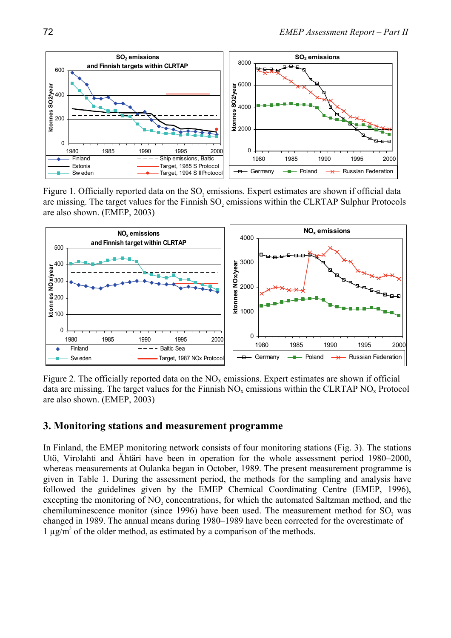

Figure 1. Officially reported data on the SO<sub>2</sub> emissions. Expert estimates are shown if official data are missing. The target values for the Finnish SO<sub>2</sub> emissions within the CLRTAP Sulphur Protocols are also shown. (EMEP, 2003)



Figure 2. The officially reported data on the  $NO<sub>x</sub>$  emissions. Expert estimates are shown if official data are missing. The target values for the Finnish  $NO<sub>x</sub>$  emissions within the CLRTAP  $NO<sub>x</sub>$  Protocol are also shown. (EMEP, 2003)

#### **3. Monitoring stations and measurement programme**

In Finland, the EMEP monitoring network consists of four monitoring stations (Fig. 3). The stations Utö, Virolahti and Ähtäri have been in operation for the whole assessment period 1980–2000, whereas measurements at Oulanka began in October, 1989. The present measurement programme is given in Table 1. During the assessment period, the methods for the sampling and analysis have followed the guidelines given by the EMEP Chemical Coordinating Centre (EMEP, 1996), excepting the monitoring of NO<sub>2</sub> concentrations, for which the automated Saltzman method, and the chemiluminescence monitor (since 1996) have been used. The measurement method for SO<sub>2</sub> was changed in 1989. The annual means during 1980–1989 have been corrected for the overestimate of  $1 \mu g/m^3$  of the older method, as estimated by a comparison of the methods.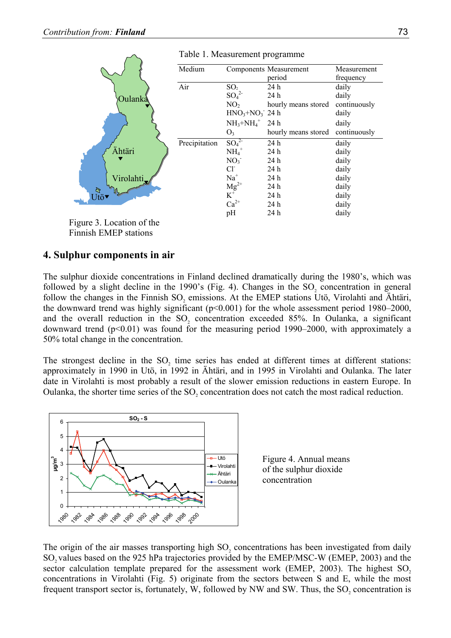|                                   | Medium        |                                | Components Measurement | Measurement  |
|-----------------------------------|---------------|--------------------------------|------------------------|--------------|
|                                   |               |                                | period                 | frequency    |
|                                   | Air           | SO <sub>2</sub>                | 24h                    | daily        |
| Oulanka                           |               | $SO_4^2$                       | 24h                    | daily        |
|                                   |               | NO <sub>2</sub>                | hourly means stored    | continuously |
|                                   |               | $HNO3+NO3$ 24 h                |                        | daily        |
|                                   |               | $NH_3+NH_4^+$ 24 h             |                        | daily        |
|                                   |               | O <sub>3</sub>                 | hourly means stored    | continuously |
|                                   | Precipitation | $SO_4^{2-}$                    | 24 h                   | daily        |
| Ähtäri                            |               | $NH_4$ <sup>+</sup>            | 24h                    | daily        |
|                                   |               | NO <sub>3</sub>                | 24h                    | daily        |
|                                   |               | $Cl^{\dagger}$                 | 24h                    | daily        |
| Virolahti,                        |               | $Na+$                          | 24h                    | daily        |
| $\mathbb{Z}$                      |               | ${Mg}^{2+}$ $\boldsymbol{K}^+$ | 24h                    | daily        |
| $U\dot{t}$ ö $\blacktriangledown$ |               |                                | 24h                    | daily        |
|                                   |               | $Ca^{2+}$                      | 24h                    | daily        |
|                                   |               | pH                             | 24 h                   | daily        |
|                                   |               |                                |                        |              |

Table 1. Measurement programme

Figure 3. Location of the Finnish EMEP stations

### **4. Sulphur components in air**

The sulphur dioxide concentrations in Finland declined dramatically during the 1980's, which was followed by a slight decline in the  $1990$ 's (Fig. 4). Changes in the SO<sub>2</sub> concentration in general follow the changes in the Finnish  $SO_2$  emissions. At the EMEP stations Utö, Virolahti and Ähtäri, the downward trend was highly significant (p<0.001) for the whole assessment period 1980–2000, and the overall reduction in the  $SO_2$  concentration exceeded 85%. In Oulanka, a significant downward trend  $(p<0.01)$  was found for the measuring period 1990–2000, with approximately a 50% total change in the concentration.

The strongest decline in the SO<sub>2</sub> time series has ended at different times at different stations: approximately in 1990 in Utö, in 1992 in Ähtäri, and in 1995 in Virolahti and Oulanka. The later date in Virolahti is most probably a result of the slower emission reductions in eastern Europe. In Oulanka, the shorter time series of the SO<sub>2</sub> concentration does not catch the most radical reduction.



Figure 4. Annual means of the sulphur dioxide concentration

The origin of the air masses transporting high SO<sub>2</sub> concentrations has been investigated from daily SO<sub>2</sub> values based on the 925 hPa trajectories provided by the EMEP/MSC-W (EMEP, 2003) and the sector calculation template prepared for the assessment work (EMEP,  $2003$ ). The highest SO<sub>2</sub> concentrations in Virolahti (Fig. 5) originate from the sectors between S and E, while the most frequent transport sector is, fortunately, W, followed by NW and SW. Thus, the  $SO<sub>2</sub>$  concentration is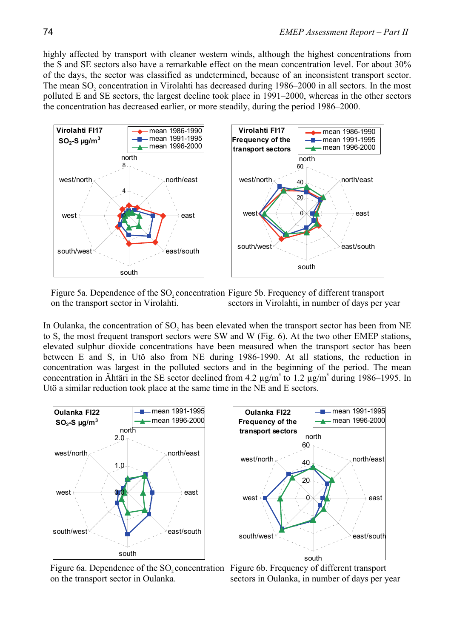highly affected by transport with cleaner western winds, although the highest concentrations from the S and SE sectors also have a remarkable effect on the mean concentration level. For about 30% of the days, the sector was classified as undetermined, because of an inconsistent transport sector. The mean  $SO_2$  concentration in Virolahti has decreased during 1986–2000 in all sectors. In the most polluted E and SE sectors, the largest decline took place in 1991–2000, whereas in the other sectors the concentration has decreased earlier, or more steadily, during the period 1986–2000.



Figure 5a. Dependence of the SO<sub>2</sub> concentration Figure 5b. Frequency of different transport on the transport sector in Virolahti. sectors in Virolahti, in number of days per year

In Oulanka, the concentration of SO<sub>2</sub> has been elevated when the transport sector has been from NE to S, the most frequent transport sectors were SW and W (Fig. 6). At the two other EMEP stations, elevated sulphur dioxide concentrations have been measured when the transport sector has been between E and S, in Utö also from NE during 1986-1990. At all stations, the reduction in concentration was largest in the polluted sectors and in the beginning of the period. The mean concentration in Ähtäri in the SE sector declined from 4.2  $\mu$ g/m<sup>3</sup> to 1.2  $\mu$ g/m<sup>3</sup> during 1986–1995. In Utö a similar reduction took place at the same time in the NE and E sectors.



Figure 6a. Dependence of the  $SO_2$  concentration Figure 6b. Frequency of different transport on the transport sector in Oulanka.



sectors in Oulanka, in number of days per year.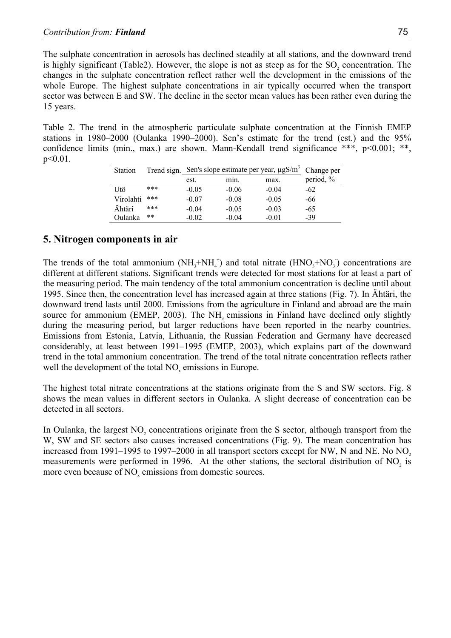The sulphate concentration in aerosols has declined steadily at all stations, and the downward trend is highly significant (Table2). However, the slope is not as steep as for the SO<sub>2</sub> concentration. The changes in the sulphate concentration reflect rather well the development in the emissions of the whole Europe. The highest sulphate concentrations in air typically occurred when the transport sector was between E and SW. The decline in the sector mean values has been rather even during the 15 years.

Table 2. The trend in the atmospheric particulate sulphate concentration at the Finnish EMEP stations in 1980–2000 (Oulanka 1990–2000). Sen's estimate for the trend (est.) and the 95% confidence limits (min., max.) are shown. Mann-Kendall trend significance \*\*\*, p<0.001; \*\*,  $p < 0.01$ .

| <b>Station</b> |      |         | Trend sign. Sen's slope estimate per year, $\mu$ gS/m <sup>3</sup> Change per |         |           |
|----------------|------|---------|-------------------------------------------------------------------------------|---------|-----------|
|                |      | est.    | min.                                                                          | max.    | period, % |
| Utö            | ***  | $-0.05$ | $-0.06$                                                                       | $-0.04$ | $-62$     |
| Virolahti      | ***  | $-0.07$ | $-0.08$                                                                       | $-0.05$ | -66       |
| Ähtäri         | ***  | $-0.04$ | $-0.05$                                                                       | $-0.03$ | -65       |
| Oulanka        | $**$ | $-0.02$ | $-0.04$                                                                       | $-0.01$ | $-39$     |

## **5. Nitrogen components in air**

The trends of the total ammonium  $(NH_3+NH_4^+)$  and total nitrate  $(HNO_3+NO_3)$  concentrations are different at different stations. Significant trends were detected for most stations for at least a part of the measuring period. The main tendency of the total ammonium concentration is decline until about 1995. Since then, the concentration level has increased again at three stations (Fig. 7). In Ähtäri, the downward trend lasts until 2000. Emissions from the agriculture in Finland and abroad are the main source for ammonium (EMEP, 2003). The  $NH<sub>3</sub>$  emissions in Finland have declined only slightly during the measuring period, but larger reductions have been reported in the nearby countries. Emissions from Estonia, Latvia, Lithuania, the Russian Federation and Germany have decreased considerably, at least between 1991–1995 (EMEP, 2003), which explains part of the downward trend in the total ammonium concentration. The trend of the total nitrate concentration reflects rather well the development of the total NO<sub>x</sub> emissions in Europe.

The highest total nitrate concentrations at the stations originate from the S and SW sectors. Fig. 8 shows the mean values in different sectors in Oulanka. A slight decrease of concentration can be detected in all sectors.

In Oulanka, the largest NO<sub>2</sub> concentrations originate from the S sector, although transport from the W, SW and SE sectors also causes increased concentrations (Fig. 9). The mean concentration has increased from 1991–1995 to 1997–2000 in all transport sectors except for NW, N and NE. No NO<sub>2</sub> measurements were performed in 1996. At the other stations, the sectoral distribution of NO<sub>2</sub> is more even because of NO<sub>x</sub> emissions from domestic sources.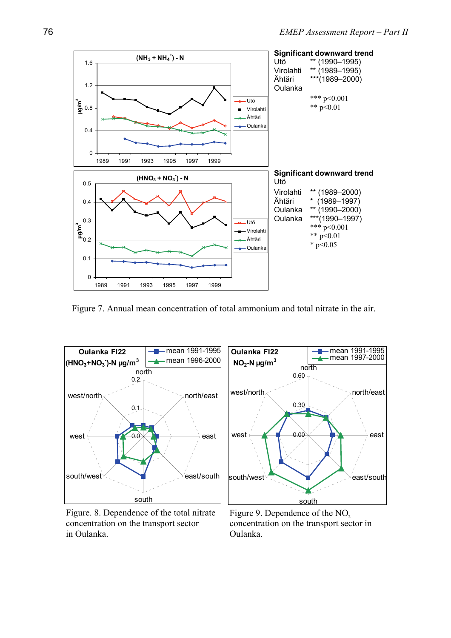

Figure 7. Annual mean concentration of total ammonium and total nitrate in the air.



Figure. 8. Dependence of the total nitrate concentration on the transport sector in Oulanka.

Figure 9. Dependence of the NO<sub>2</sub> concentration on the transport sector in Oulanka.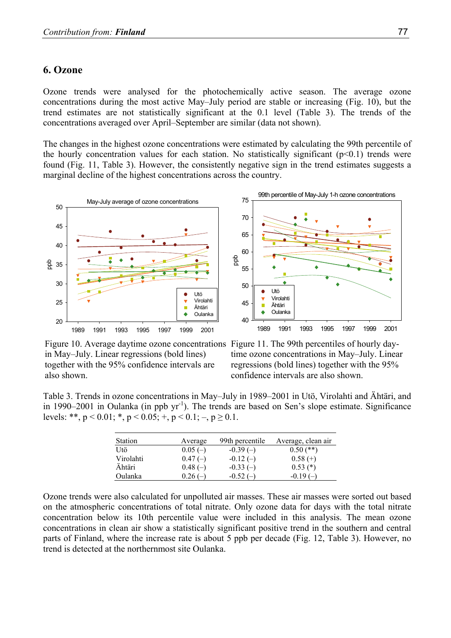#### **6. Ozone**

Ozone trends were analysed for the photochemically active season. The average ozone concentrations during the most active May–July period are stable or increasing (Fig. 10), but the trend estimates are not statistically significant at the 0.1 level (Table 3). The trends of the concentrations averaged over April–September are similar (data not shown).

The changes in the highest ozone concentrations were estimated by calculating the 99th percentile of the hourly concentration values for each station. No statistically significant  $(p<0.1)$  trends were found (Fig. 11, Table 3). However, the consistently negative sign in the trend estimates suggests a marginal decline of the highest concentrations across the country.



Figure 10. Average daytime ozone concentrations Figure 11. The 99th percentiles of hourly dayin May–July. Linear regressions (bold lines) together with the 95% confidence intervals are also shown.

time ozone concentrations in May–July. Linear regressions (bold lines) together with the 95% confidence intervals are also shown.

Table 3. Trends in ozone concentrations in May–July in 1989–2001 in Utö, Virolahti and Ähtäri, and in 1990–2001 in Oulanka (in ppb  $yr^{-1}$ ). The trends are based on Sen's slope estimate. Significance levels: \*\*,  $p < 0.01$ ; \*,  $p < 0.05$ ; +,  $p < 0.1$ ; -,  $p \ge 0.1$ .

| <b>Station</b> | Average   | 99th percentile | Average, clean air |
|----------------|-----------|-----------------|--------------------|
| Utö            | $0.05(-)$ | $-0.39(-)$      | $0.50$ (**)        |
| Virolahti      | $0.47(-)$ | $-0.12(-)$      | $0.58(+)$          |
| Ähtäri         | $0.48(-)$ | $-0.33(-)$      | $0.53$ (*)         |
| Oulanka        | $0.26(-)$ | $-0.52(-)$      | $-0.19(-)$         |

Ozone trends were also calculated for unpolluted air masses. These air masses were sorted out based on the atmospheric concentrations of total nitrate. Only ozone data for days with the total nitrate concentration below its 10th percentile value were included in this analysis. The mean ozone concentrations in clean air show a statistically significant positive trend in the southern and central parts of Finland, where the increase rate is about 5 ppb per decade (Fig. 12, Table 3). However, no trend is detected at the northernmost site Oulanka.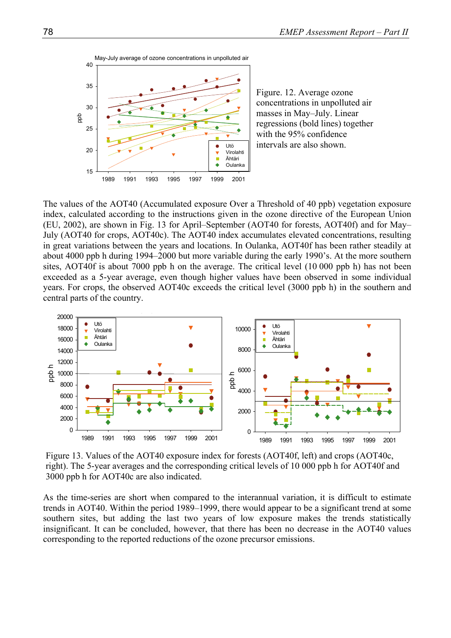

Figure. 12. Average ozone concentrations in unpolluted air masses in May–July. Linear regressions (bold lines) together with the 95% confidence intervals are also shown.

The values of the AOT40 (Accumulated exposure Over a Threshold of 40 ppb) vegetation exposure index, calculated according to the instructions given in the ozone directive of the European Union (EU, 2002), are shown in Fig. 13 for April–September (AOT40 for forests, AOT40f) and for May– July (AOT40 for crops, AOT40c). The AOT40 index accumulates elevated concentrations, resulting in great variations between the years and locations. In Oulanka, AOT40f has been rather steadily at about 4000 ppb h during 1994–2000 but more variable during the early 1990's. At the more southern sites, AOT40f is about 7000 ppb h on the average. The critical level (10 000 ppb h) has not been exceeded as a 5-year average, even though higher values have been observed in some individual years. For crops, the observed AOT40c exceeds the critical level (3000 ppb h) in the southern and central parts of the country.



Figure 13. Values of the AOT40 exposure index for forests (AOT40f, left) and crops (AOT40c, right). The 5-year averages and the corresponding critical levels of 10 000 ppb h for AOT40f and 3000 ppb h for AOT40c are also indicated.

As the time-series are short when compared to the interannual variation, it is difficult to estimate trends in AOT40. Within the period 1989–1999, there would appear to be a significant trend at some southern sites, but adding the last two years of low exposure makes the trends statistically insignificant. It can be concluded, however, that there has been no decrease in the AOT40 values corresponding to the reported reductions of the ozone precursor emissions.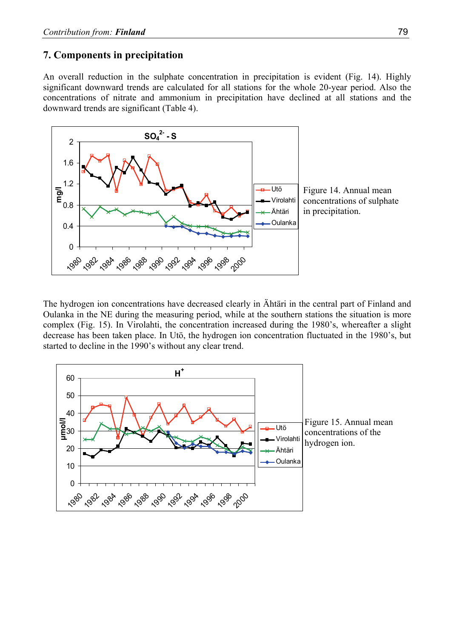#### **7. Components in precipitation**

An overall reduction in the sulphate concentration in precipitation is evident (Fig. 14). Highly significant downward trends are calculated for all stations for the whole 20-year period. Also the concentrations of nitrate and ammonium in precipitation have declined at all stations and the downward trends are significant (Table 4).



The hydrogen ion concentrations have decreased clearly in Ähtäri in the central part of Finland and Oulanka in the NE during the measuring period, while at the southern stations the situation is more complex (Fig. 15). In Virolahti, the concentration increased during the 1980's, whereafter a slight decrease has been taken place. In Utö, the hydrogen ion concentration fluctuated in the 1980's, but started to decline in the 1990's without any clear trend.

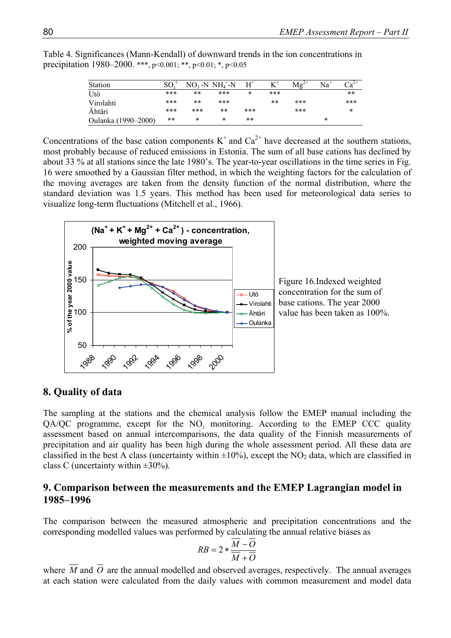| Station             | SО  |       | $NO_3-NNH_4+N$ | $\mathrm{H}^*$ |      |     | $Na+$ |        |
|---------------------|-----|-------|----------------|----------------|------|-----|-------|--------|
| Utö                 | *** | $* *$ | ***            | $\ast$         | ***  |     |       | $**$   |
| Virolahti           | *** | $* *$ | ***            |                | $**$ | *** |       | ***    |
| Ähtäri              | *** | ***   | **             | ***            |      | *** |       | $\ast$ |
| Oulanka (1990–2000) | **  | *     | *              | $***$          |      |     | *     |        |

Table 4. Significances (Mann-Kendall) of downward trends in the ion concentrations in precipitation 1980–2000. \*\*\*, p<0.001; \*\*, p<0.01; \*, p<0.05

Concentrations of the base cation components  $K^+$  and  $Ca^{2+}$  have decreased at the southern stations, most probably because of reduced emissions in Estonia. The sum of all base cations has declined by about 33 % at all stations since the late 1980's. The year-to-year oscillations in the time series in Fig. 16 were smoothed by a Gaussian filter method, in which the weighting factors for the calculation of the moving averages are taken from the density function of the normal distribution, where the standard deviation was 1.5 years. This method has been used for meteorological data series to visualize long-term fluctuations (Mitchell et al., 1966).



Figure 16.Indexed weighted concentration for the sum of base cations. The year 2000 value has been taken as 100%.

### **8. Quality of data**

The sampling at the stations and the chemical analysis follow the EMEP manual including the QA/QC programme, except for the NO<sub>2</sub> monitoring. According to the EMEP CCC quality assessment based on annual intercomparisons, the data quality of the Finnish measurements of precipitation and air quality has been high during the whole assessment period. All these data are classified in the best A class (uncertainty within  $\pm 10\%$ ), except the NO<sub>2</sub> data, which are classified in class C (uncertainty within  $\pm 30\%$ ).

#### **9. Comparison between the measurements and the EMEP Lagrangian model in 1985–1996**

The comparison between the measured atmospheric and precipitation concentrations and the corresponding modelled values was performed by calculating the annual relative biases as

$$
RB = 2 * \frac{\overline{M} - \overline{O}}{\overline{M} + \overline{O}}
$$

where  $\overline{M}$  and  $\overline{O}$  are the annual modelled and observed averages, respectively. The annual averages at each station were calculated from the daily values with common measurement and model data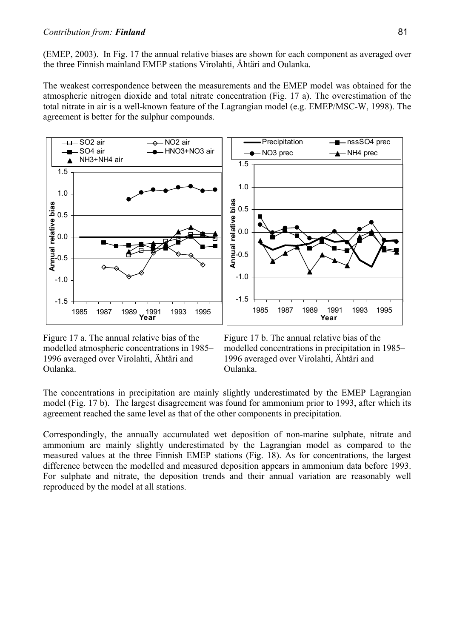(EMEP, 2003). In Fig. 17 the annual relative biases are shown for each component as averaged over the three Finnish mainland EMEP stations Virolahti, Ähtäri and Oulanka.

The weakest correspondence between the measurements and the EMEP model was obtained for the atmospheric nitrogen dioxide and total nitrate concentration (Fig. 17 a). The overestimation of the total nitrate in air is a well-known feature of the Lagrangian model (e.g. EMEP/MSC-W, 1998). The agreement is better for the sulphur compounds.



Figure 17 a. The annual relative bias of the modelled atmospheric concentrations in 1985– 1996 averaged over Virolahti, Ähtäri and Oulanka.

Figure 17 b. The annual relative bias of the modelled concentrations in precipitation in 1985– 1996 averaged over Virolahti, Ähtäri and Oulanka.

The concentrations in precipitation are mainly slightly underestimated by the EMEP Lagrangian model (Fig. 17 b). The largest disagreement was found for ammonium prior to 1993, after which its agreement reached the same level as that of the other components in precipitation.

Correspondingly, the annually accumulated wet deposition of non-marine sulphate, nitrate and ammonium are mainly slightly underestimated by the Lagrangian model as compared to the measured values at the three Finnish EMEP stations (Fig. 18). As for concentrations, the largest difference between the modelled and measured deposition appears in ammonium data before 1993. For sulphate and nitrate, the deposition trends and their annual variation are reasonably well reproduced by the model at all stations.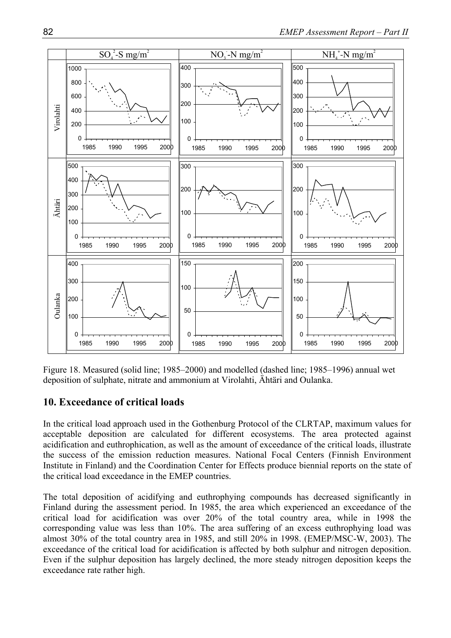

Figure 18. Measured (solid line; 1985–2000) and modelled (dashed line; 1985–1996) annual wet deposition of sulphate, nitrate and ammonium at Virolahti, Ähtäri and Oulanka.

### **10. Exceedance of critical loads**

In the critical load approach used in the Gothenburg Protocol of the CLRTAP, maximum values for acceptable deposition are calculated for different ecosystems. The area protected against acidification and euthrophication, as well as the amount of exceedance of the critical loads, illustrate the success of the emission reduction measures. National Focal Centers (Finnish Environment Institute in Finland) and the Coordination Center for Effects produce biennial reports on the state of the critical load exceedance in the EMEP countries.

The total deposition of acidifying and euthrophying compounds has decreased significantly in Finland during the assessment period. In 1985, the area which experienced an exceedance of the critical load for acidification was over 20% of the total country area, while in 1998 the corresponding value was less than 10%. The area suffering of an excess euthrophying load was almost 30% of the total country area in 1985, and still 20% in 1998. (EMEP/MSC-W, 2003). The exceedance of the critical load for acidification is affected by both sulphur and nitrogen deposition. Even if the sulphur deposition has largely declined, the more steady nitrogen deposition keeps the exceedance rate rather high.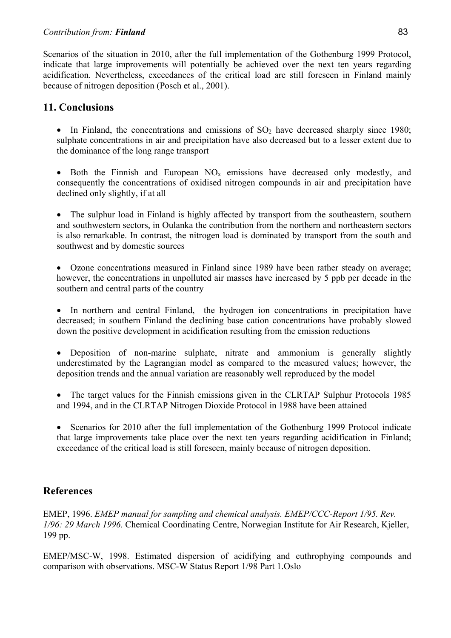Scenarios of the situation in 2010, after the full implementation of the Gothenburg 1999 Protocol, indicate that large improvements will potentially be achieved over the next ten years regarding acidification. Nevertheless, exceedances of the critical load are still foreseen in Finland mainly because of nitrogen deposition (Posch et al., 2001).

## **11. Conclusions**

• In Finland, the concentrations and emissions of  $SO<sub>2</sub>$  have decreased sharply since 1980; sulphate concentrations in air and precipitation have also decreased but to a lesser extent due to the dominance of the long range transport

Both the Finnish and European  $NO_x$  emissions have decreased only modestly, and consequently the concentrations of oxidised nitrogen compounds in air and precipitation have declined only slightly, if at all

• The sulphur load in Finland is highly affected by transport from the southeastern, southern and southwestern sectors, in Oulanka the contribution from the northern and northeastern sectors is also remarkable. In contrast, the nitrogen load is dominated by transport from the south and southwest and by domestic sources

• Ozone concentrations measured in Finland since 1989 have been rather steady on average; however, the concentrations in unpolluted air masses have increased by 5 ppb per decade in the southern and central parts of the country

• In northern and central Finland, the hydrogen ion concentrations in precipitation have decreased; in southern Finland the declining base cation concentrations have probably slowed down the positive development in acidification resulting from the emission reductions

• Deposition of non-marine sulphate, nitrate and ammonium is generally slightly underestimated by the Lagrangian model as compared to the measured values; however, the deposition trends and the annual variation are reasonably well reproduced by the model

The target values for the Finnish emissions given in the CLRTAP Sulphur Protocols 1985 and 1994, and in the CLRTAP Nitrogen Dioxide Protocol in 1988 have been attained

• Scenarios for 2010 after the full implementation of the Gothenburg 1999 Protocol indicate that large improvements take place over the next ten years regarding acidification in Finland; exceedance of the critical load is still foreseen, mainly because of nitrogen deposition.

# **References**

EMEP, 1996. *EMEP manual for sampling and chemical analysis. EMEP/CCC-Report 1/95. Rev. 1/96: 29 March 1996.* Chemical Coordinating Centre, Norwegian Institute for Air Research, Kjeller, 199 pp.

EMEP/MSC-W, 1998. Estimated dispersion of acidifying and euthrophying compounds and comparison with observations. MSC-W Status Report 1/98 Part 1.Oslo